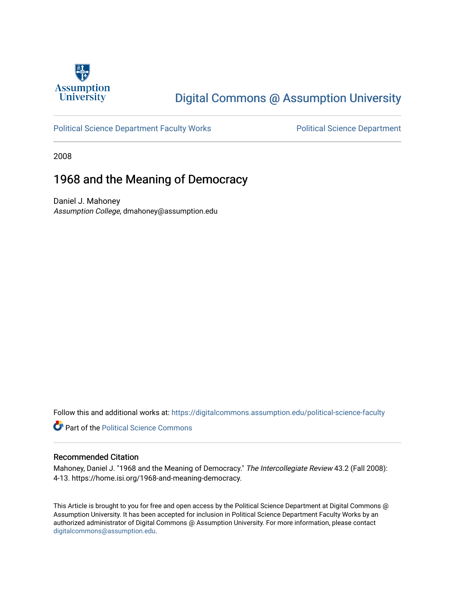

# [Digital Commons @ Assumption University](https://digitalcommons.assumption.edu/)

## [Political Science Department Faculty Works](https://digitalcommons.assumption.edu/political-science-faculty) **Political Science Department**

2008

# 1968 and the Meaning of Democracy

Daniel J. Mahoney Assumption College, dmahoney@assumption.edu

Follow this and additional works at: [https://digitalcommons.assumption.edu/political-science-faculty](https://digitalcommons.assumption.edu/political-science-faculty?utm_source=digitalcommons.assumption.edu%2Fpolitical-science-faculty%2F25&utm_medium=PDF&utm_campaign=PDFCoverPages)

**Part of the Political Science Commons** 

### Recommended Citation

Mahoney, Daniel J. "1968 and the Meaning of Democracy." The Intercollegiate Review 43.2 (Fall 2008): 4-13. https://home.isi.org/1968-and-meaning-democracy.

This Article is brought to you for free and open access by the Political Science Department at Digital Commons @ Assumption University. It has been accepted for inclusion in Political Science Department Faculty Works by an authorized administrator of Digital Commons @ Assumption University. For more information, please contact [digitalcommons@assumption.edu](mailto:digitalcommons@assumption.edu).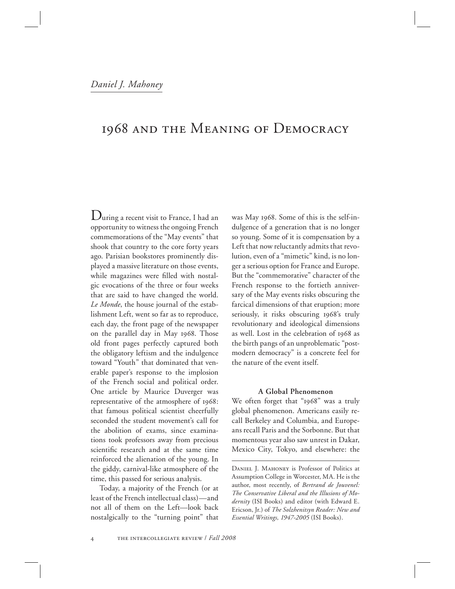## *Daniel J. Mahoney*

# 1968 and the Meaning of Democracy

During a recent visit to France, I had an opportunity to witness the ongoing French commemorations of the "May events" that shook that country to the core forty years ago. Parisian bookstores prominently displayed a massive literature on those events, while magazines were filled with nostalgic evocations of the three or four weeks that are said to have changed the world. *Le Monde*, the house journal of the establishment Left, went so far as to reproduce, each day, the front page of the newspaper on the parallel day in May 1968. Those old front pages perfectly captured both the obligatory leftism and the indulgence toward "Youth" that dominated that venerable paper's response to the implosion of the French social and political order. One article by Maurice Duverger was representative of the atmosphere of 1968: that famous political scientist cheerfully seconded the student movement's call for the abolition of exams, since examinations took professors away from precious scientific research and at the same time reinforced the alienation of the young. In the giddy, carnival-like atmosphere of the time, this passed for serious analysis.

Today, a majority of the French (or at least of the French intellectual class)—and not all of them on the Left—look back nostalgically to the "turning point" that was May 1968. Some of this is the self-indulgence of a generation that is no longer so young. Some of it is compensation by a Left that now reluctantly admits that revolution, even of a "mimetic" kind, is no longer a serious option for France and Europe. But the "commemorative" character of the French response to the fortieth anniversary of the May events risks obscuring the farcical dimensions of that eruption; more seriously, it risks obscuring 1968's truly revolutionary and ideological dimensions as well. Lost in the celebration of 1968 as the birth pangs of an unproblematic "postmodern democracy" is a concrete feel for the nature of the event itself.

#### **A Global Phenomenon**

We often forget that "1968" was a truly global phenomenon. Americans easily recall Berkeley and Columbia, and Europeans recall Paris and the Sorbonne. But that momentous year also saw unrest in Dakar, Mexico City, Tokyo, and elsewhere: the

Daniel J. Mahoney is Professor of Politics at Assumption College in Worcester, MA. He is the author, most recently, of *Bertrand de Jouvenel: The Conservative Liberal and the Illusions of Modernity* (ISI Books) and editor (with Edward E. Ericson, Jr.) of *The Solzhenitsyn Reader: New and Essential Writings, 1947-2005* (ISI Books).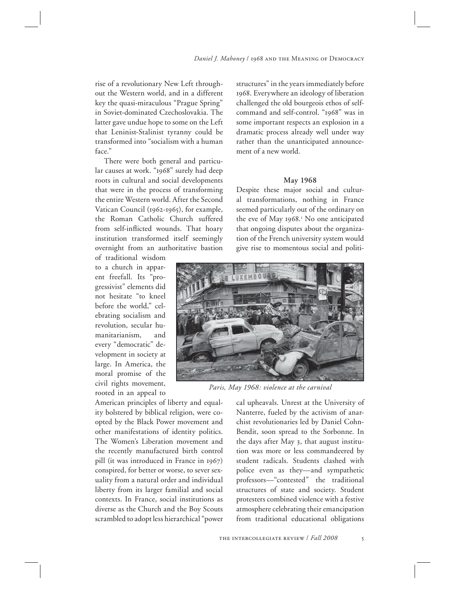rise of a revolutionary New Left throughout the Western world, and in a different key the quasi-miraculous "Prague Spring" in Soviet-dominated Czechoslovakia. The latter gave undue hope to some on the Left that Leninist-Stalinist tyranny could be transformed into "socialism with a human face."

There were both general and particular causes at work. "1968" surely had deep roots in cultural and social developments that were in the process of transforming the entire Western world. After the Second Vatican Council (1962-1965), for example, the Roman Catholic Church suffered from self-inflicted wounds. That hoary institution transformed itself seemingly overnight from an authoritative bastion

of traditional wisdom to a church in apparent freefall. Its "progressivist" elements did not hesitate "to kneel before the world," celebrating socialism and revolution, secular humanitarianism, and every "democratic" development in society at large. In America, the moral promise of the civil rights movement, rooted in an appeal to

American principles of liberty and equality bolstered by biblical religion, were coopted by the Black Power movement and other manifestations of identity politics. The Women's Liberation movement and the recently manufactured birth control pill (it was introduced in France in 1967) conspired, for better or worse, to sever sexuality from a natural order and individual liberty from its larger familial and social contexts. In France, social institutions as diverse as the Church and the Boy Scouts scrambled to adopt less hierarchical "power structures" in the years immediately before 1968. Everywhere an ideology of liberation challenged the old bourgeois ethos of selfcommand and self-control. "1968" was in some important respects an explosion in a dramatic process already well under way rather than the unanticipated announcement of a new world.

#### **May 1968**

Despite these major social and cultural transformations, nothing in France seemed particularly out of the ordinary on the eve of May 1968.<sup>1</sup> No one anticipated that ongoing disputes about the organization of the French university system would give rise to momentous social and politi-



*Paris, May 1968: violence at the carnival*

cal upheavals. Unrest at the University of Nanterre, fueled by the activism of anarchist revolutionaries led by Daniel Cohn-Bendit, soon spread to the Sorbonne. In the days after May 3, that august institution was more or less commandeered by student radicals. Students clashed with police even as they—and sympathetic professors—"contested" the traditional structures of state and society. Student protesters combined violence with a festive atmosphere celebrating their emancipation from traditional educational obligations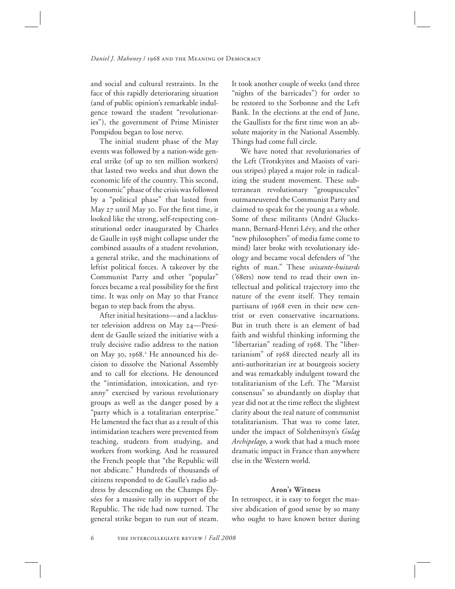and social and cultural restraints. In the face of this rapidly deteriorating situation (and of public opinion's remarkable indulgence toward the student "revolutionaries"), the government of Prime Minister Pompidou began to lose nerve.

The initial student phase of the May events was followed by a nation-wide general strike (of up to ten million workers) that lasted two weeks and shut down the economic life of the country. This second, "economic" phase of the crisis was followed by a "political phase" that lasted from May  $27$  until May 30. For the first time, it looked like the strong, self-respecting constitutional order inaugurated by Charles de Gaulle in 1958 might collapse under the combined assaults of a student revolution, a general strike, and the machinations of leftist political forces. A takeover by the Communist Party and other "popular" forces became a real possibility for the first time. It was only on May 30 that France began to step back from the abyss.

After initial hesitations—and a lackluster television address on May 24—President de Gaulle seized the initiative with a truly decisive radio address to the nation on May 30, 1968. 2 He announced his decision to dissolve the National Assembly and to call for elections. He denounced the "intimidation, intoxication, and tyranny" exercised by various revolutionary groups as well as the danger posed by a "party which is a totalitarian enterprise." He lamented the fact that as a result of this intimidation teachers were prevented from teaching, students from studying, and workers from working. And he reassured the French people that "the Republic will not abdicate." Hundreds of thousands of citizens responded to de Gaulle's radio address by descending on the Champs Élysées for a massive rally in support of the Republic. The tide had now turned. The general strike began to run out of steam.

It took another couple of weeks (and three "nights of the barricades") for order to be restored to the Sorbonne and the Left Bank. In the elections at the end of June, the Gaullists for the first time won an absolute majority in the National Assembly. Things had come full circle.

We have noted that revolutionaries of the Left (Trotskyites and Maoists of various stripes) played a major role in radicalizing the student movement. These subterranean revolutionary "groupuscules" outmaneuvered the Communist Party and claimed to speak for the young as a whole. Some of these militants (André Glucksmann, Bernard-Henri Lévy, and the other "new philosophers" of media fame come to mind) later broke with revolutionary ideology and became vocal defenders of "the rights of man." These *soixante-huitards* ('68ers) now tend to read their own intellectual and political trajectory into the nature of the event itself. They remain partisans of 1968 even in their new centrist or even conservative incarnations. But in truth there is an element of bad faith and wishful thinking informing the "libertarian" reading of 1968. The "libertarianism" of 1968 directed nearly all its anti-authoritarian ire at bourgeois society and was remarkably indulgent toward the totalitarianism of the Left. The "Marxist consensus" so abundantly on display that year did not at the time reflect the slightest clarity about the real nature of communist totalitarianism. That was to come later, under the impact of Solzhenitsyn's *Gulag Archipelago*, a work that had a much more dramatic impact in France than anywhere else in the Western world.

#### **Aron's Witness**

In retrospect, it is easy to forget the massive abdication of good sense by so many who ought to have known better during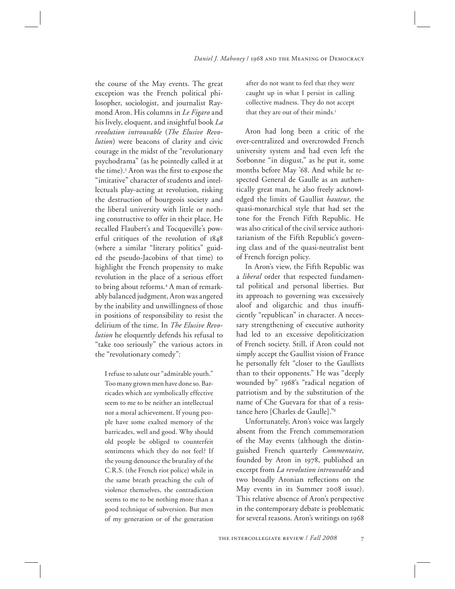the course of the May events. The great exception was the French political philosopher, sociologist, and journalist Raymond Aron. His columns in *Le Figaro* and his lively, eloquent, and insightful book *La revolution introuvable* (*The Elusive Revolution*) were beacons of clarity and civic courage in the midst of the "revolutionary psychodrama" (as he pointedly called it at the time).<sup>3</sup> Aron was the first to expose the "imitative" character of students and intellectuals play-acting at revolution, risking the destruction of bourgeois society and the liberal university with little or nothing constructive to offer in their place. He recalled Flaubert's and Tocqueville's powerful critiques of the revolution of 1848 (where a similar "literary politics" guided the pseudo-Jacobins of that time) to highlight the French propensity to make revolution in the place of a serious effort to bring about reforms.<sup>4</sup> A man of remarkably balanced judgment, Aron was angered by the inability and unwillingness of those in positions of responsibility to resist the delirium of the time. In *The Elusive Revolution* he eloquently defends his refusal to "take too seriously" the various actors in the "revolutionary comedy":

I refuse to salute our "admirable youth." Too many grown men have done so. Barricades which are symbolically effective seem to me to be neither an intellectual nor a moral achievement. If young people have some exalted memory of the barricades, well and good. Why should old people be obliged to counterfeit sentiments which they do not feel? If the young denounce the brutality of the C.R.S. (the French riot police) while in the same breath preaching the cult of violence themselves, the contradiction seems to me to be nothing more than a good technique of subversion. But men of my generation or of the generation after do not want to feel that they were caught up in what I persist in calling collective madness. They do not accept that they are out of their minds.<sup>5</sup>

Aron had long been a critic of the over-centralized and overcrowded French university system and had even left the Sorbonne "in disgust," as he put it, some months before May '68. And while he respected General de Gaulle as an authentically great man, he also freely acknowledged the limits of Gaullist *hauteur,* the quasi-monarchical style that had set the tone for the French Fifth Republic. He was also critical of the civil service authoritarianism of the Fifth Republic's governing class and of the quasi-neutralist bent of French foreign policy.

In Aron's view, the Fifth Republic was a *liberal* order that respected fundamental political and personal liberties. But its approach to governing was excessively aloof and oligarchic and thus insufficiently "republican" in character. A necessary strengthening of executive authority had led to an excessive depoliticization of French society. Still, if Aron could not simply accept the Gaullist vision of France he personally felt "closer to the Gaullists than to their opponents." He was "deeply wounded by" 1968's "radical negation of patriotism and by the substitution of the name of Che Guevara for that of a resistance hero [Charles de Gaulle]."<sup>6</sup>

Unfortunately, Aron's voice was largely absent from the French commemoration of the May events (although the distinguished French quarterly *Commentaire,*  founded by Aron in 1978, published an excerpt from *La revolution introuvable* and two broadly Aronian reflections on the May events in its Summer 2008 issue). This relative absence of Aron's perspective in the contemporary debate is problematic for several reasons. Aron's writings on 1968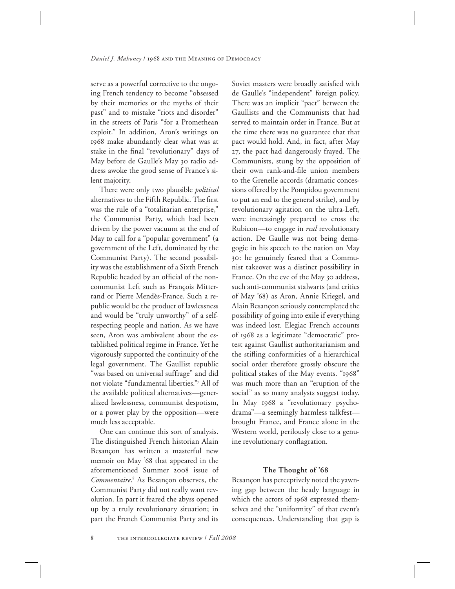serve as a powerful corrective to the ongoing French tendency to become "obsessed by their memories or the myths of their past" and to mistake "riots and disorder" in the streets of Paris "for a Promethean exploit." In addition, Aron's writings on 1968 make abundantly clear what was at stake in the final "revolutionary" days of May before de Gaulle's May 30 radio address awoke the good sense of France's silent majority.

There were only two plausible *political* alternatives to the Fifth Republic. The first was the rule of a "totalitarian enterprise," the Communist Party, which had been driven by the power vacuum at the end of May to call for a "popular government" (a government of the Left, dominated by the Communist Party). The second possibility was the establishment of a Sixth French Republic headed by an official of the noncommunist Left such as François Mitterrand or Pierre Mendès-France. Such a republic would be the product of lawlessness and would be "truly unworthy" of a selfrespecting people and nation. As we have seen, Aron was ambivalent about the established political regime in France. Yet he vigorously supported the continuity of the legal government. The Gaullist republic "was based on universal suffrage" and did not violate "fundamental liberties."<sup>7</sup> All of the available political alternatives—generalized lawlessness, communist despotism, or a power play by the opposition—were much less acceptable.

One can continue this sort of analysis. The distinguished French historian Alain Besançon has written a masterful new memoir on May '68 that appeared in the aforementioned Summer 2008 issue of Commentaire.<sup>8</sup> As Besançon observes, the Communist Party did not really want revolution. In part it feared the abyss opened up by a truly revolutionary situation; in part the French Communist Party and its

Soviet masters were broadly satisfied with de Gaulle's "independent" foreign policy. There was an implicit "pact" between the Gaullists and the Communists that had served to maintain order in France. But at the time there was no guarantee that that pact would hold. And, in fact, after May 27, the pact had dangerously frayed. The Communists, stung by the opposition of their own rank-and-file union members to the Grenelle accords (dramatic concessions offered by the Pompidou government to put an end to the general strike), and by revolutionary agitation on the ultra-Left, were increasingly prepared to cross the Rubicon—to engage in *real* revolutionary action. De Gaulle was not being demagogic in his speech to the nation on May 30: he genuinely feared that a Communist takeover was a distinct possibility in France. On the eve of the May 30 address, such anti-communist stalwarts (and critics of May '68) as Aron, Annie Kriegel, and Alain Besançon seriously contemplated the possibility of going into exile if everything was indeed lost. Elegiac French accounts of 1968 as a legitimate "democratic" protest against Gaullist authoritarianism and the stifling conformities of a hierarchical social order therefore grossly obscure the political stakes of the May events. "1968" was much more than an "eruption of the social" as so many analysts suggest today. In May 1968 a "revolutionary psychodrama"—a seemingly harmless talkfest brought France, and France alone in the Western world, perilously close to a genuine revolutionary conflagration.

#### **The Thought of '68**

Besançon has perceptively noted the yawning gap between the heady language in which the actors of 1968 expressed themselves and the "uniformity" of that event's consequences. Understanding that gap is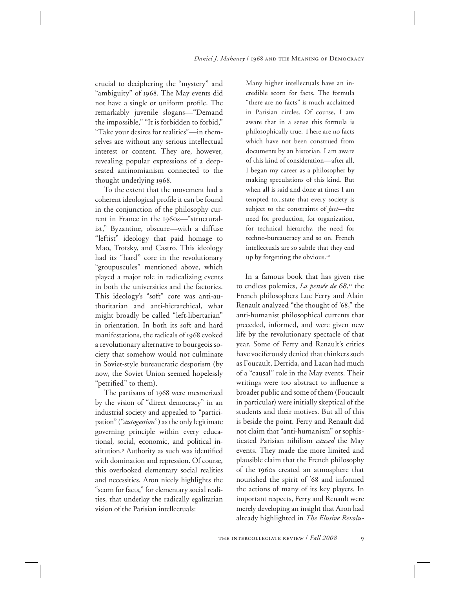crucial to deciphering the "mystery" and "ambiguity" of 1968. The May events did not have a single or uniform profile. The remarkably juvenile slogans—"Demand the impossible," "It is forbidden to forbid," "Take your desires for realities"—in themselves are without any serious intellectual interest or content. They are, however, revealing popular expressions of a deepseated antinomianism connected to the thought underlying 1968.

To the extent that the movement had a coherent ideological profile it can be found in the conjunction of the philosophy current in France in the 1960s—"structuralist," Byzantine, obscure—with a diffuse "leftist" ideology that paid homage to Mao, Trotsky, and Castro. This ideology had its "hard" core in the revolutionary "groupuscules" mentioned above, which played a major role in radicalizing events in both the universities and the factories. This ideology's "soft" core was anti-authoritarian and anti-hierarchical, what might broadly be called "left-libertarian" in orientation. In both its soft and hard manifestations, the radicals of 1968 evoked a revolutionary alternative to bourgeois society that somehow would not culminate in Soviet-style bureaucratic despotism (by now, the Soviet Union seemed hopelessly "petrified" to them).

The partisans of 1968 were mesmerized by the vision of "direct democracy" in an industrial society and appealed to "participation" ("*autogestion*") as the only legitimate governing principle within every educational, social, economic, and political institution.<sup>9</sup> Authority as such was identified with domination and repression. Of course, this overlooked elementary social realities and necessities. Aron nicely highlights the "scorn for facts," for elementary social realities, that underlay the radically egalitarian vision of the Parisian intellectuals:

Many higher intellectuals have an incredible scorn for facts. The formula "there are no facts" is much acclaimed in Parisian circles. Of course, I am aware that in a sense this formula is philosophically true. There are no facts which have not been construed from documents by an historian. I am aware of this kind of consideration—after all, I began my career as a philosopher by making speculations of this kind. But when all is said and done at times I am tempted to...state that every society is subject to the constraints of *fact*—the need for production, for organization, for technical hierarchy, the need for techno-bureaucracy and so on. French intellectuals are so subtle that they end up by forgetting the obvious.<sup>10</sup>

In a famous book that has given rise to endless polemics, *La pensée de 68*, <sup>11</sup> the French philosophers Luc Ferry and Alain Renault analyzed "the thought of '68," the anti-humanist philosophical currents that preceded, informed, and were given new life by the revolutionary spectacle of that year. Some of Ferry and Renault's critics have vociferously denied that thinkers such as Foucault, Derrida, and Lacan had much of a "causal" role in the May events. Their writings were too abstract to influence a broader public and some of them (Foucault in particular) were initially skeptical of the students and their motives. But all of this is beside the point. Ferry and Renault did not claim that "anti-humanism" or sophisticated Parisian nihilism *caused* the May events. They made the more limited and plausible claim that the French philosophy of the 1960s created an atmosphere that nourished the spirit of '68 and informed the actions of many of its key players. In important respects, Ferry and Renault were merely developing an insight that Aron had already highlighted in *The Elusive Revolu-*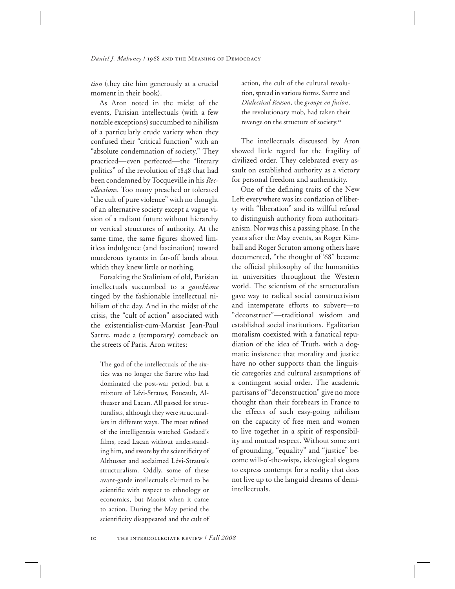*tion* (they cite him generously at a crucial moment in their book).

As Aron noted in the midst of the events, Parisian intellectuals (with a few notable exceptions) succumbed to nihilism of a particularly crude variety when they confused their "critical function" with an "absolute condemnation of society." They practiced—even perfected—the "literary politics" of the revolution of 1848 that had been condemned by Tocqueville in his *Recollections*. Too many preached or tolerated "the cult of pure violence" with no thought of an alternative society except a vague vision of a radiant future without hierarchy or vertical structures of authority. At the same time, the same figures showed limitless indulgence (and fascination) toward murderous tyrants in far-off lands about which they knew little or nothing.

Forsaking the Stalinism of old, Parisian intellectuals succumbed to a *gauchisme* tinged by the fashionable intellectual nihilism of the day. And in the midst of the crisis, the "cult of action" associated with the existentialist-cum-Marxist Jean-Paul Sartre, made a (temporary) comeback on the streets of Paris. Aron writes:

The god of the intellectuals of the sixties was no longer the Sartre who had dominated the post-war period, but a mixture of Lévi-Strauss, Foucault, Althusser and Lacan. All passed for structuralists, although they were structuralists in different ways. The most refined of the intelligentsia watched Godard's films, read Lacan without understanding him, and swore by the scientificity of Althusser and acclaimed Lévi-Strauss's structuralism. Oddly, some of these avant-garde intellectuals claimed to be scientific with respect to ethnology or economics, but Maoist when it came to action. During the May period the scientificity disappeared and the cult of

action, the cult of the cultural revolution, spread in various forms. Sartre and *Dialectical Reason*, the *groupe en fusion*, the revolutionary mob, had taken their revenge on the structure of society.<sup>12</sup>

The intellectuals discussed by Aron showed little regard for the fragility of civilized order. They celebrated every assault on established authority as a victory for personal freedom and authenticity.

One of the defining traits of the New Left everywhere was its conflation of liberty with "liberation" and its willful refusal to distinguish authority from authoritarianism. Nor was this a passing phase. In the years after the May events, as Roger Kimball and Roger Scruton among others have documented, "the thought of '68" became the official philosophy of the humanities in universities throughout the Western world. The scientism of the structuralists gave way to radical social constructivism and intemperate efforts to subvert—to "deconstruct"—traditional wisdom and established social institutions. Egalitarian moralism coexisted with a fanatical repudiation of the idea of Truth, with a dogmatic insistence that morality and justice have no other supports than the linguistic categories and cultural assumptions of a contingent social order. The academic partisans of "deconstruction" give no more thought than their forebears in France to the effects of such easy-going nihilism on the capacity of free men and women to live together in a spirit of responsibility and mutual respect. Without some sort of grounding, "equality" and "justice" become will-o'-the-wisps, ideological slogans to express contempt for a reality that does not live up to the languid dreams of demiintellectuals.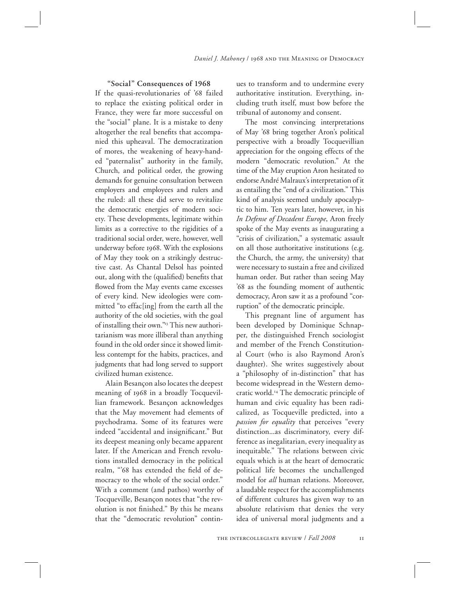### **"Social" Consequences of 1968**

If the quasi-revolutionaries of '68 failed to replace the existing political order in France, they were far more successful on the "social" plane. It is a mistake to deny altogether the real benefits that accompanied this upheaval. The democratization of mores, the weakening of heavy-handed "paternalist" authority in the family, Church, and political order, the growing demands for genuine consultation between employers and employees and rulers and the ruled: all these did serve to revitalize the democratic energies of modern society. These developments, legitimate within limits as a corrective to the rigidities of a traditional social order, were, however, well underway before 1968. With the explosions of May they took on a strikingly destructive cast. As Chantal Delsol has pointed out, along with the (qualified) benefits that flowed from the May events came excesses of every kind. New ideologies were committed "to effac[ing] from the earth all the authority of the old societies, with the goal of installing their own."13 This new authoritarianism was more illiberal than anything found in the old order since it showed limitless contempt for the habits, practices, and judgments that had long served to support civilized human existence.

 Alain Besançon also locates the deepest meaning of 1968 in a broadly Tocquevillian framework. Besançon acknowledges that the May movement had elements of psychodrama. Some of its features were indeed "accidental and insignificant." But its deepest meaning only became apparent later. If the American and French revolutions installed democracy in the political realm, "68 has extended the field of democracy to the whole of the social order." With a comment (and pathos) worthy of Tocqueville, Besançon notes that "the revolution is not finished." By this he means that the "democratic revolution" continues to transform and to undermine every authoritative institution. Everything, including truth itself, must bow before the tribunal of autonomy and consent.

The most convincing interpretations of May '68 bring together Aron's political perspective with a broadly Tocquevillian appreciation for the ongoing effects of the modern "democratic revolution." At the time of the May eruption Aron hesitated to endorse André Malraux's interpretation of it as entailing the "end of a civilization." This kind of analysis seemed unduly apocalyptic to him. Ten years later, however, in his *In Defense of Decadent Europe*, Aron freely spoke of the May events as inaugurating a "crisis of civilization," a systematic assault on all those authoritative institutions (e.g. the Church, the army, the university) that were necessary to sustain a free and civilized human order. But rather than seeing May '68 as the founding moment of authentic democracy, Aron saw it as a profound "corruption" of the democratic principle.

This pregnant line of argument has been developed by Dominique Schnapper, the distinguished French sociologist and member of the French Constitutional Court (who is also Raymond Aron's daughter). She writes suggestively about a "philosophy of in-distinction" that has become widespread in the Western democratic world.<sup>14</sup> The democratic principle of human and civic equality has been radicalized, as Tocqueville predicted, into a *passion for equality* that perceives "every distinction...as discriminatory, every difference as inegalitarian, every inequality as inequitable." The relations between civic equals which is at the heart of democratic political life becomes the unchallenged model for *all* human relations. Moreover, a laudable respect for the accomplishments of different cultures has given way to an absolute relativism that denies the very idea of universal moral judgments and a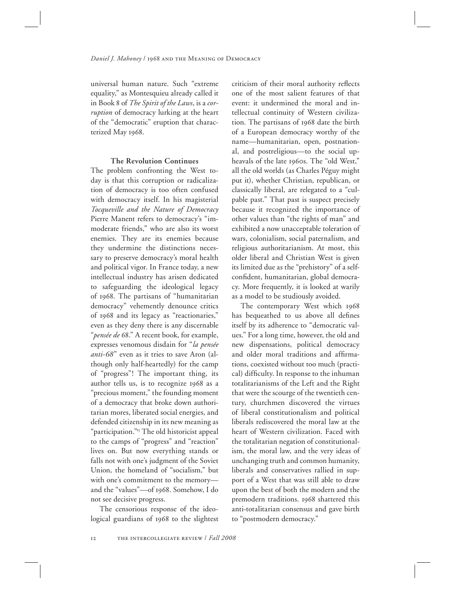universal human nature. Such "extreme equality," as Montesquieu already called it in Book 8 of *The Spirit of the Laws*, is a *corruption* of democracy lurking at the heart of the "democratic" eruption that characterized May 1968.

### **The Revolution Continues**

The problem confronting the West today is that this corruption or radicalization of democracy is too often confused with democracy itself. In his magisterial *Tocqueville and the Nature of Democracy*  Pierre Manent refers to democracy's "immoderate friends," who are also its worst enemies. They are its enemies because they undermine the distinctions necessary to preserve democracy's moral health and political vigor. In France today, a new intellectual industry has arisen dedicated to safeguarding the ideological legacy of 1968. The partisans of "humanitarian democracy" vehemently denounce critics of 1968 and its legacy as "reactionaries," even as they deny there is any discernable "*pensée de* 68." A recent book, for example, expresses venomous disdain for "*la pensée anti-68*" even as it tries to save Aron (although only half-heartedly) for the camp of "progress"! The important thing, its author tells us, is to recognize 1968 as a "precious moment," the founding moment of a democracy that broke down authoritarian mores, liberated social energies, and defended citizenship in its new meaning as "participation."<sup>15</sup> The old historicist appeal to the camps of "progress" and "reaction" lives on. But now everything stands or falls not with one's judgment of the Soviet Union, the homeland of "socialism," but with one's commitment to the memory and the "values"—of 1968. Somehow, I do not see decisive progress.

The censorious response of the ideological guardians of 1968 to the slightest

criticism of their moral authority reflects one of the most salient features of that event: it undermined the moral and intellectual continuity of Western civilization. The partisans of 1968 date the birth of a European democracy worthy of the name—humanitarian, open, postnational, and postreligious—to the social upheavals of the late 1960s. The "old West," all the old worlds (as Charles Péguy might put it), whether Christian, republican, or classically liberal, are relegated to a "culpable past." That past is suspect precisely because it recognized the importance of other values than "the rights of man" and exhibited a now unacceptable toleration of wars, colonialism, social paternalism, and religious authoritarianism. At most, this older liberal and Christian West is given its limited due as the "prehistory" of a selfconfident, humanitarian, global democracy. More frequently, it is looked at warily as a model to be studiously avoided.

The contemporary West which 1968 has bequeathed to us above all defines itself by its adherence to "democratic values." For a long time, however, the old and new dispensations, political democracy and older moral traditions and affirmations, coexisted without too much (practical) difficulty. In response to the inhuman totalitarianisms of the Left and the Right that were the scourge of the twentieth century, churchmen discovered the virtues of liberal constitutionalism and political liberals rediscovered the moral law at the heart of Western civilization. Faced with the totalitarian negation of constitutionalism, the moral law, and the very ideas of unchanging truth and common humanity, liberals and conservatives rallied in support of a West that was still able to draw upon the best of both the modern and the premodern traditions. 1968 shattered this anti-totalitarian consensus and gave birth to "postmodern democracy."